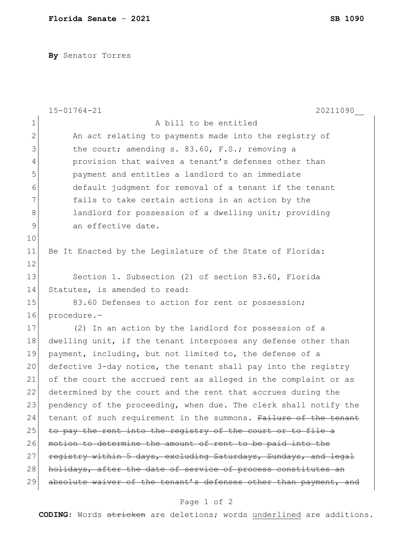**By** Senator Torres

|                | 20211090<br>$15 - 01764 - 21$                                    |
|----------------|------------------------------------------------------------------|
| $\mathbf{1}$   | A bill to be entitled                                            |
| $\overline{2}$ | An act relating to payments made into the registry of            |
| 3              | the court; amending s. 83.60, F.S.; removing a                   |
| 4              | provision that waives a tenant's defenses other than             |
| 5              | payment and entitles a landlord to an immediate                  |
| 6              | default judgment for removal of a tenant if the tenant           |
| 7              | fails to take certain actions in an action by the                |
| $\,8\,$        | landlord for possession of a dwelling unit; providing            |
| 9              | an effective date.                                               |
| 10             |                                                                  |
| 11             | Be It Enacted by the Legislature of the State of Florida:        |
| 12             |                                                                  |
| 13             | Section 1. Subsection (2) of section 83.60, Florida              |
| 14             | Statutes, is amended to read:                                    |
| 15             | 83.60 Defenses to action for rent or possession;                 |
| 16             | procedure.-                                                      |
| 17             | (2) In an action by the landlord for possession of a             |
| 18             | dwelling unit, if the tenant interposes any defense other than   |
| 19             | payment, including, but not limited to, the defense of a         |
| 20             | defective 3-day notice, the tenant shall pay into the registry   |
| 21             | of the court the accrued rent as alleged in the complaint or as  |
| 22             | determined by the court and the rent that accrues during the     |
| 23             | pendency of the proceeding, when due. The clerk shall notify the |
| 24             | tenant of such requirement in the summons. Failure of the tenant |
| 25             | to pay the rent into the registry of the court or to file a      |
| 26             | motion to determine the amount of rent to be paid into the       |
| 27             | registry within 5 days, excluding Saturdays, Sundays, and legal  |
| 28             | holidays, after the date of service of process constitutes an    |
| 29             | absolute waiver of the tenant's defenses other than payment, and |

## Page 1 of 2

**CODING**: Words stricken are deletions; words underlined are additions.